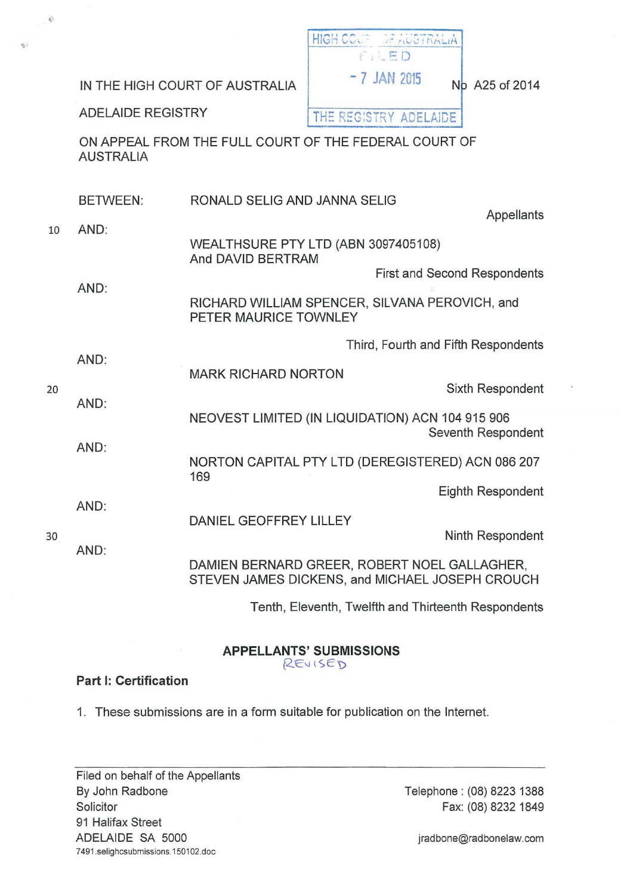| $\langle \vec{\psi} \rangle$ |                          |                                                  |                                                                                                 |                                     |
|------------------------------|--------------------------|--------------------------------------------------|-------------------------------------------------------------------------------------------------|-------------------------------------|
|                              |                          |                                                  | HIGH COUP OF AUSTRALIA<br>$f \in E$ D                                                           |                                     |
|                              |                          | IN THE HIGH COURT OF AUSTRALIA                   | $-7$ JAN 2015                                                                                   | No A25 of 2014                      |
|                              | <b>ADELAIDE REGISTRY</b> |                                                  | THE REGISTRY ADELAIDE                                                                           |                                     |
|                              | <b>AUSTRALIA</b>         |                                                  | ON APPEAL FROM THE FULL COURT OF THE FEDERAL COURT OF                                           |                                     |
| 10                           | <b>BETWEEN:</b>          | RONALD SELIG AND JANNA SELIG                     |                                                                                                 | Appellants                          |
|                              | AND:                     | And DAVID BERTRAM                                | WEALTHSURE PTY LTD (ABN 3097405108)                                                             |                                     |
|                              | AND:                     |                                                  |                                                                                                 | <b>First and Second Respondents</b> |
|                              |                          | PETER MAURICE TOWNLEY                            | RICHARD WILLIAM SPENCER, SILVANA PEROVICH, and                                                  |                                     |
| 20                           | AND:                     |                                                  |                                                                                                 | Third, Fourth and Fifth Respondents |
|                              |                          | <b>MARK RICHARD NORTON</b>                       |                                                                                                 | Sixth Respondent                    |
|                              | AND:                     | NEOVEST LIMITED (IN LIQUIDATION) ACN 104 915 906 |                                                                                                 | Seventh Respondent                  |
|                              | AND:                     | 169                                              | NORTON CAPITAL PTY LTD (DEREGISTERED) ACN 086 207                                               |                                     |
| 30                           | AND:                     |                                                  |                                                                                                 | Eighth Respondent                   |
|                              |                          | DANIEL GEOFFREY LILLEY                           |                                                                                                 | Ninth Respondent                    |
|                              | AND:                     |                                                  | DAMIEN BERNARD GREER, ROBERT NOEL GALLAGHER,<br>STEVEN JAMES DICKENS, and MICHAEL JOSEPH CROUCH |                                     |
|                              |                          |                                                  | Tenth, Eleventh, Twelfth and Thirteenth Respondents                                             |                                     |

# APPELLANTS' SUBMISSIONS

REVISED

# Part 1: Certification

 $\mathfrak{S}^j$ 

1. These submissions are in a form suitable for publication on the Internet.

Filed on behalf of the Appellants By John Radbone Solicitor 91 Halifax Street ADELAIDE SA 5000 7491.selighcsubmissions.150102.doc

Telephone : (08) 8223 1388 Fax: (08) 8232 1849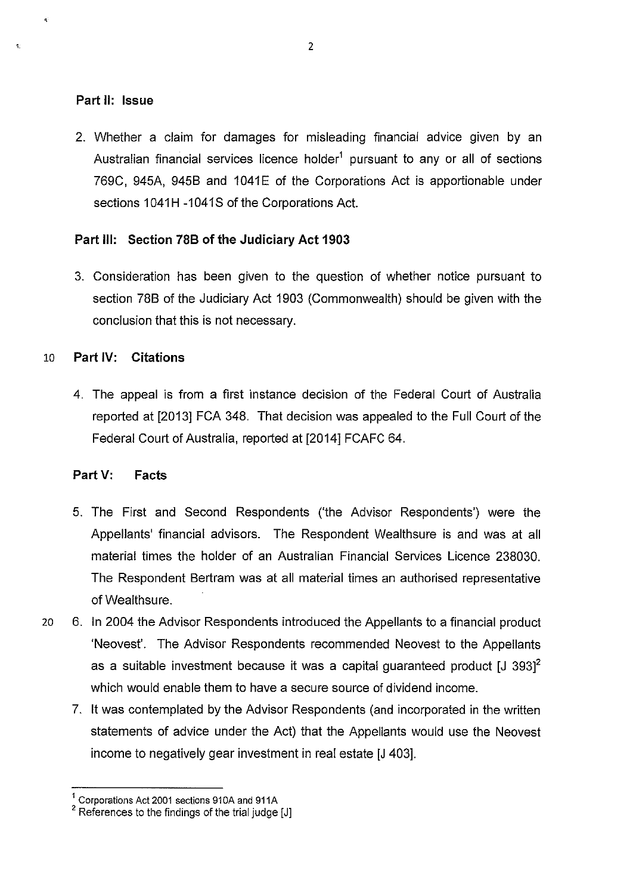# **Part II: Issue**

 $\mathbf{z}$ 

2. Whether a claim for damages for misleading financial advice given by an Australian financial services licence holder<sup>1</sup> pursuant to any or all of sections 769C, 945A, 945B and 1041E of the Corporations Act is apportionable under sections 1041H -1041S of the Corporations Act.

# **Part Ill: Section 788 of the Judiciary Act 1903**

3. Consideration has been given to the question of whether notice pursuant to section 788 of the Judiciary Act 1903 (Commonwealth) should be given with the conclusion that this is not necessary.

# 10 **Part IV: Citations**

4. The appeal is from a first instance decision of the Federal Court of Australia reported at [2013] FCA 348. That decision was appealed to the Full Court of the Federal Court of Australia, reported at [2014] FCAFC 64.

# **Part V: Facts**

- 5. The First and Second Respondents ('the Advisor Respondents') were the Appellants' financial advisors. The Respondent Wealthsure is and was at all material times the holder of an Australian Financial Services Licence 238030. The Respondent Bertram was at all material times an authorised representative of Wealthsure.
- 20 6. In 2004 the Advisor Respondents introduced the Appellants to a financial product 'Neovest'. The Advisor Respondents recommended Neovest to the Appellants as a suitable investment because it was a capital quaranteed product  $[J 393]$ <sup>2</sup> which would enable them to have a secure source of dividend income.
	- 7. It was contemplated by the Advisor Respondents (and incorporated in the written statements of advice under the Act) that the Appellants would use the Neovest income to negatively gear investment in real estate [J 403].

 $1 \over 1$  Corporations Act 2001 sections 910A and 911A

 $2$  References to the findings of the trial judge [J]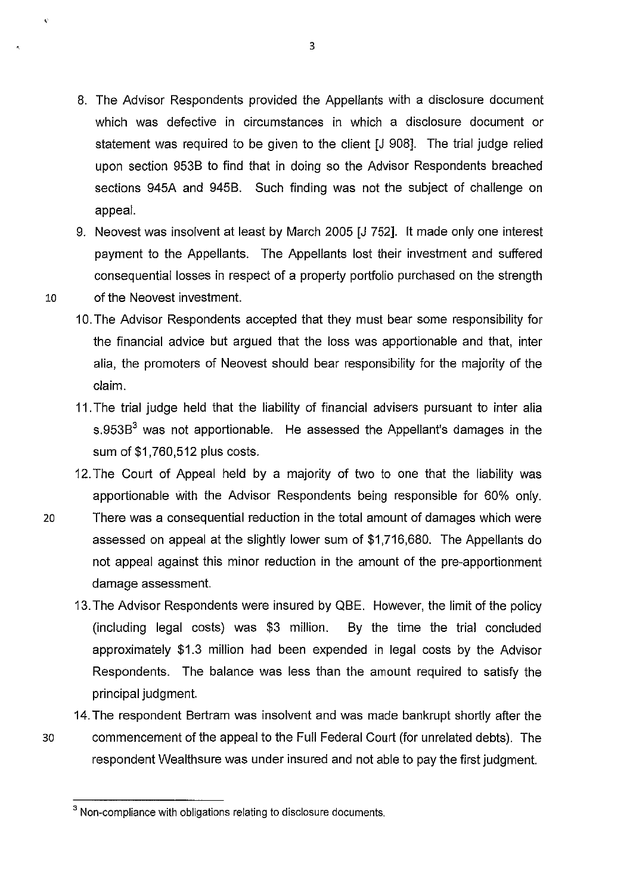- 8. The Advisor Respondents provided the Appellants with a disclosure document which was defective in circumstances in which a disclosure document or statement was required to be given to the client [J 908]. The trial judge relied upon section 953B to find that in doing so the Advisor Respondents breached sections 945A and 945B. Such finding was not the subject of challenge on appeal.
- 9. Neovest was insolvent at least by March 2005 [J 752]. It made only one interest payment to the Appellants. The Appellants lost their investment and suffered consequential losses in respect of a property portfolio purchased on the strength
- 10 of the Neovest investment.

 $\hat{\mathbf{v}}$ 

- 10. The Advisor Respondents accepted that they must bear some responsibility for the financial advice but argued that the loss was apportionable and that, inter alia, the promoters of Neovest should bear responsibility for the majority of the claim.
- 11. The trial judge held that the liability of financial advisers pursuant to inter alia s.953 $B<sup>3</sup>$  was not apportionable. He assessed the Appellant's damages in the sum of \$1,760,512 plus costs.
- 12. The Court of Appeal held by a majority of two to one that the liability was apportionable with the Advisor Respondents being responsible for 60% only.
- 20 There was a consequential reduction in the total amount of damages which were assessed on appeal at the slightly lower sum of \$1,716,680. The Appellants do not appeal against this minor reduction in the amount of the pre-apportionment damage assessment.
	- 13. The Advisor Respondents were insured by QBE. However, the limit of the policy (including legal costs) was \$3 million. By the time the trial concluded approximately \$1.3 million had been expended in legal costs by the Advisor Respondents. The balance was less than the amount required to satisfy the principal judgment.
	- 14. The respondent Bertram was insolvent and was made bankrupt shortly after the

30 commencement of the appeal to the Full Federal Court (for unrelated debts). The respondent Wealthsure was under insured and not able to pay the first judgment.

<sup>&</sup>lt;sup>3</sup> Non-compliance with obligations relating to disclosure documents.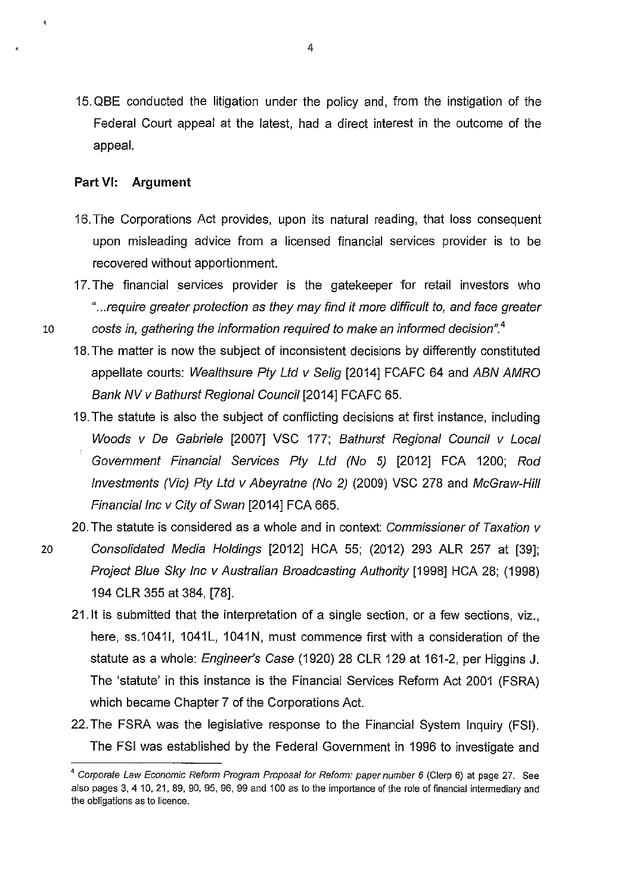15. QBE conducted the litigation under the policy and, from the instigation of the Federal Court appeal at the latest, had a direct interest in the outcome of the appeal.

# **Part** VI: **Argument**

- 16. The Corporations Act provides, upon its natural reading, that loss consequent upon misleading advice from a licensed financial services provider is to be recovered without apportionment.
- 17. The financial services provider is the gatekeeper for retail investors who " ... require greater protection as they may find it more difficult to, and face greater
- 10 costs in, gathering the information required to make an informed decision". *<sup>4</sup>*
	- 18. The matter is now the subject of inconsistent decisions by differently constituted appellate courts: Wealthsure Pty Ltd v Selig [2014] FCAFC 64 and ABN AMRO Bank NV v Bathurst Regional Council [2014] FCAFC 65.
	- 19. The statute is also the subject of conflicting decisions at first instance, including Woods v De Gabriele [2007] VSC 177; Bathurst Regional Council v Local Government Financial Services Pty Ltd (No 5) [2012] FCA 1200; Rod Investments (Vic) Pty Ltd v Abeyratne (No 2) (2009) VSC 278 and McGraw-Hill Financial Inc v City of Swan [2014] FCA 665.
	- 20. The statute is considered as a whole and in context: Commissioner of Taxation v
- 20 Consolidated Media Holdings [2012] HCA 55; (2012) 293 ALR 257 at [39]; Project Blue Sky Inc v Australian Broadcasting Authority [1998] HCA 28; (1998) 194 CLR 355 at 384, [78].
	- 21.1t is submitted that the interpretation of a single section, or a few sections, viz., here, ss.10411, 1041L, 1041N, must commence first with a consideration of the statute as a whole: *Engineer's Case* (1920) 28 CLR 129 at 161-2, per Higgins J. The 'statute' in this instance is the Financial Services Reform Act 2001 (FSRA) which became Chapter 7 of the Corporations Act.
	- 22. The FSRA was the legislative response to the Financial System Inquiry (FSI). The FSI was established by the Federal Government in 1996 to investigate and

<sup>&</sup>lt;sup>4</sup> Corporate Law Economic Reform Program Proposal for Reform: paper number 6 (Clerp 6) at page 27. See also pages 3, 4 10, 21, 89, 90, 95, 96, 99 and 100 as to the importance of the role of financial intermediary and the obligations as to licence.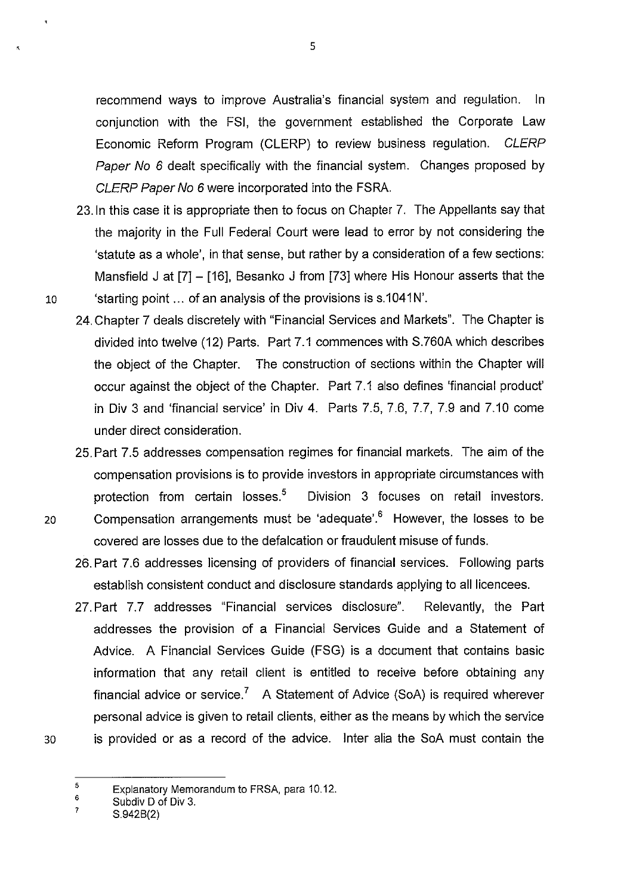recommend ways to improve Australia's financial system and regulation. In conjunction with the FSI, the government established the Corporate Law Economic Reform Program (CLERP) to review business regulation. CLERP Paper No 6 dealt specifically with the financial system. Changes proposed by CLERP Paper No 6 were incorporated into the FSRA.

- 23.1n this case it is appropriate then to focus on Chapter 7. The Appellants say that the majority in the Full Federal Court were lead to error by not considering the 'statute as a whole', in that sense, but rather by a consideration of a few sections: Mansfield J at [7] - [16], Besanko J from [73] where His Honour asserts that the 10 'starting point ... of an analysis of the provisions is s.1041N'.
	- 24. Chapter 7 deals discretely with "Financial Services and Markets". The Chapter is divided into twelve (12) Parts. Part 7.1 commences with S.760A which describes the object of the Chapter. The construction of sections within the Chapter will occur against the object of the Chapter. Part 7.1 also defines 'financial product' in Div 3 and 'financial service' in Div 4. Parts 7.5, 7.6, 7.7, 7.9 and 7.10 come under direct consideration.
- 25. Part 7.5 addresses compensation regimes for financial markets. The aim of the compensation provisions is to provide investors in appropriate circumstances with protection from certain losses.<sup>5</sup> Division 3 focuses on retail investors. 20 Compensation arrangements must be 'adequate'.<sup>6</sup> However, the losses to be
	- 26. Part 7.6 addresses licensing of providers of financial services. Following parts establish consistent conduct and disclosure standards applying to all licencees.

covered are losses due to the defalcation or fraudulent misuse of funds.

27. Part 7.7 addresses "Financial services disclosure". Relevantly, the Part addresses the provision of a Financial Services Guide and a Statement of Advice. A Financial Services Guide (FSG) is a document that contains basic information that any retail client is entitled to receive before obtaining any financial advice or service.<sup>7</sup> A Statement of Advice (SoA) is required wherever personal advice is given to retail clients, either as the means by which the service is provided or as a record of the advice. Inter alia the SoA must contain the

30

<sup>5</sup>  Explanatory Memorandum to FRSA, para 10.12.

<sup>6</sup>  Subdiv D of Div 3.

<sup>7</sup>  S.942B(2)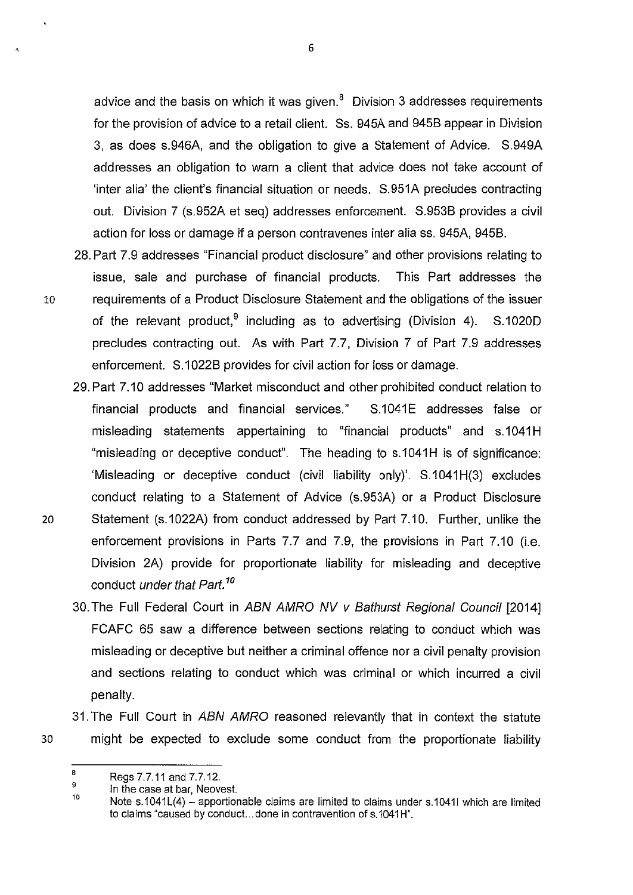advice and the basis on which it was given. $<sup>8</sup>$  Division 3 addresses requirements</sup> for the provision of advice to a retail client. Ss. 945A and 9458 appear in Division 3, as does s.946A, and the obligation to give a Statement of Advice. S.949A addresses an obligation to warn a client that advice does not take account of 'inter alia' the client's financial situation or needs. S.951A precludes contracting out. Division 7 (s.952A et seq) addresses enforcement. S.9538 provides a civil action for loss or damage if a person contravenes inter alia ss. 945A, 9458.

- 28. Part 7.9 addresses "Financial product disclosure" and other provisions relating to issue, sale and purchase of financial products. This Part addresses the 10 requirements of a Product Disclosure Statement and the obligations of the issuer of the relevant product, <sup>9</sup> including as to advertising (Division 4). S.1020D precludes contracting out. As with Part 7.7, Division 7 of Part 7.9 addresses enforcement. S.1022B provides for civil action for loss or damage.
- 29. Part 7.10 addresses "Market misconduct and other prohibited conduct relation to financial products and financial services." S.1041E addresses false or misleading statements appertaining to "financial products" and s.1041H "misleading or deceptive conduct". The heading to s.1041H is of significance: 'Misleading or deceptive conduct (civil liability only)'. S.1041 H(3) excludes conduct relating to a Statement of Advice (s.953A) or a Product Disclosure 20 Statement (s.1022A) from conduct addressed by Part 7.10. Further, unlike the enforcement provisions in Parts 7.7 and 7.9, the provisions in Part 7.10 (i.e. Division 2A) provide for proportionate liability for misleading and deceptive conduct under that Part. *<sup>10</sup>*
	- 30. The Full Federal Court in ABN AMRO NV v Bathurst Regional Council [2014] FCAFC 65 saw a difference between sections relating to conduct which was misleading or deceptive but neither a criminal offence nor a civil penalty provision and sections relating to conduct which was criminal or which incurred a civil penalty.

31. The Full Court in ABN AMRO reasoned relevantly that in context the statute might be expected to exclude some conduct from the proportionate liability

6

30

B Regs 7.7.11 and 7.7.12.

<sup>9</sup>  10 In the case at bar, Neovest.

Note s.1041L(4) – apportionable claims are limited to claims under s.10411 which are limited to claims "caused by conduct... done in contravention of s.1041H".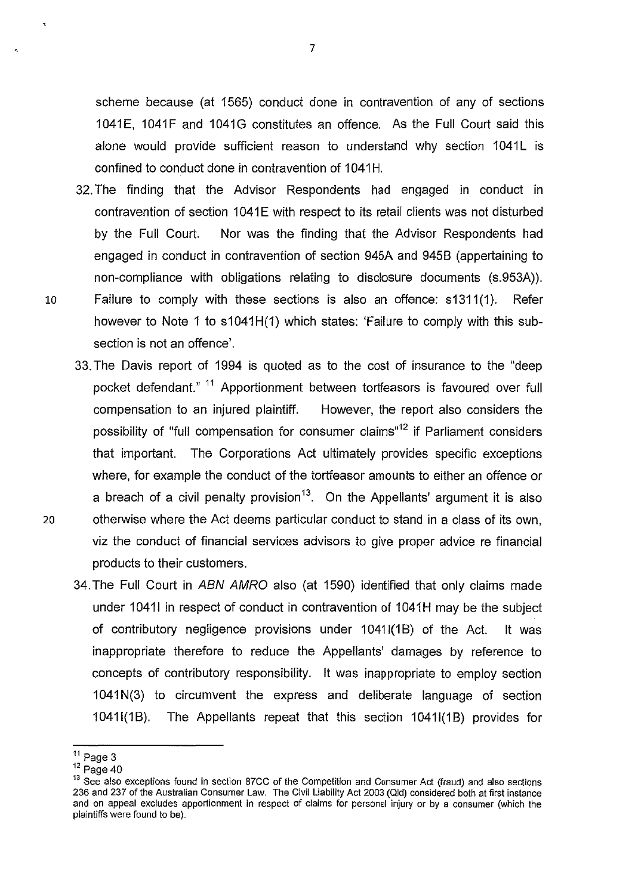scheme because (at 1565) conduct done in contravention of any of sections 1041E, 1041F and 1041G constitutes an offence. As the Full Court said this alone would provide sufficient reason to understand why section 1041L is confined to conduct done in contravention of 1041H.

- 32. The finding that the Advisor Respondents had engaged in conduct in contravention of section 1041E with respect to its retail clients was not disturbed by the Full Court. Nor was the finding that the Advisor Respondents had engaged in conduct in contravention of section 945A and 945B (appertaining to non-compliance with obligations relating to disclosure documents (s.953A)). 10 Failure to comply with these sections is also an offence: s1311(1). Refer however to Note 1 to s1041H(1) which states: 'Failure to comply with this subsection is not an offence'.
- 33. The Davis report of 1994 is quoted as to the cost of insurance to the "deep pocket defendant." <sup>11</sup> Apportionment between tortfeasors is favoured over full compensation to an injured plaintiff. However, the report also considers the possibility of "full compensation for consumer claims"<sup>12</sup> if Parliament considers that important. The Corporations Act ultimately provides specific exceptions where, for example the conduct of the tortfeasor amounts to either an offence or a breach of a civil penalty provision<sup>13</sup>. On the Appellants' argument it is also 2.0 otherwise where the Act deems particular conduct to stand in a class of its own, viz the conduct of financial services advisors to give proper advice re financial products to their customers.
	- 34.The Full Court in ABN AMRO also (at 1590) identified that only claims made under 1041I in respect of conduct in contravention of 1041H may be the subject of contributory negligence provisions under 10411(1B) of the Act. It was inappropriate therefore to reduce the Appellants' damages by reference to concepts of contributory responsibility. It was inappropriate to employ section 1041 N(3) to circumvent the express and deliberate language of section 10411(1B). The Appellants repeat that this section 10411(1B) provides for

 $11$  Page 3

 $12$  Page 40

<sup>&</sup>lt;sup>13</sup> See also exceptions found in section 87CC of the Competition and Consumer Act (fraud) and also sections 236 and 237 of the Australian Consumer Law. The Civil Liability Act 2003 (Qid) considered both at first instance and on appeal excludes apportionment in respect of claims for personal injury or by a consumer (which the plaintiffs were found to be).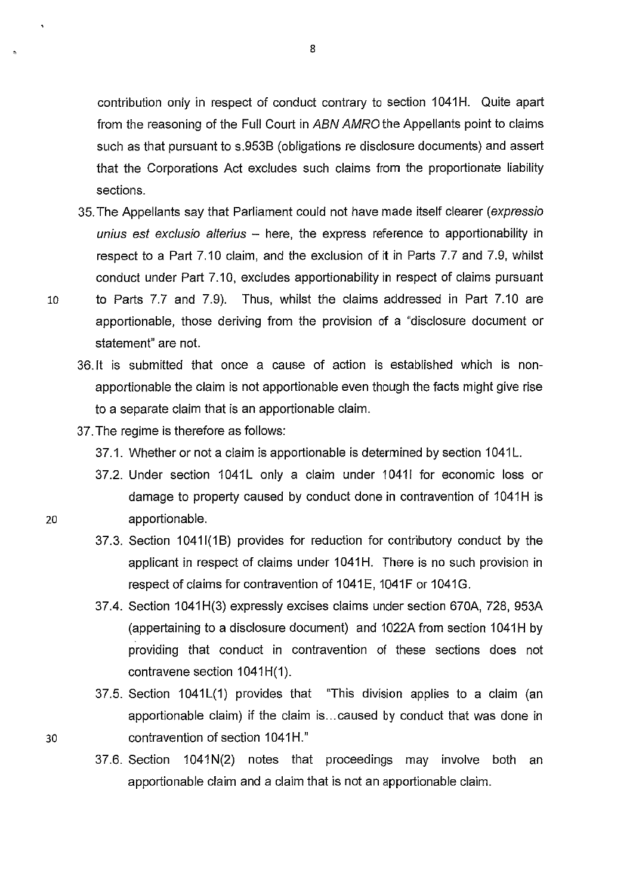contribution only in respect of conduct contrary to section 1041H. Quite apart from the reasoning of the Full Court in ABN AMRO the Appellants point to claims such as that pursuant to s.953B (obligations re disclosure documents) and assert that the Corporations Act excludes such claims from the proportionate liability sections.

- 35. The Appellants say that Parliament could not have made itself clearer (expressio unius est exclusio alterius  $-$  here, the express reference to apportionability in respect to a Part 7.10 claim, and the exclusion of it in Parts 7.7 and 7.9, whilst conduct under Part 7.10, excludes apportionability in respect of claims pursuant
- 
- 10 to Parts 7.7 and 7.9). Thus, whilst the claims addressed in Part 7.10 are apportionable, those deriving from the provision of a "disclosure document or statement" are not.
	- 36.1t is submitted that once a cause of action is established which is nonapportionable the claim is not apportionable even though the facts might give rise to a separate claim that is an apportionable claim.
	- 37. The regime is therefore as follows:
		- 37.1. Whether or not a claim is apportionable is determined by section 1041L.
- 37.2. Under section 1041L only a claim under 10411 for economic loss or damage to property caused by conduct done in contravention of 1041H is zo apportionable.
	- 37.3. Section 1041I(1B) provides for reduction for contributory conduct by the applicant in respect of claims under 1041H. There is no such provision in respect of claims for contravention of 1041E, 1041F or 1041G.
	- 37.4. Section 1041H(3) expressly excises claims under section 670A, 728, 953A (appertaining to a disclosure document) and 1022A from section 1041H by providing that conduct in contravention of these sections does not contravene section 1041H(1).
- 37.5. Section 1041L(1) provides that "This division applies to a claim (an apportionable claim) if the claim is ... caused by conduct that was done in 30 contravention of section 1041H."
	- 37.6. Section 1041N(2) notes that proceedings may involve both an apportionable claim and a claim that is not an apportionable claim.

8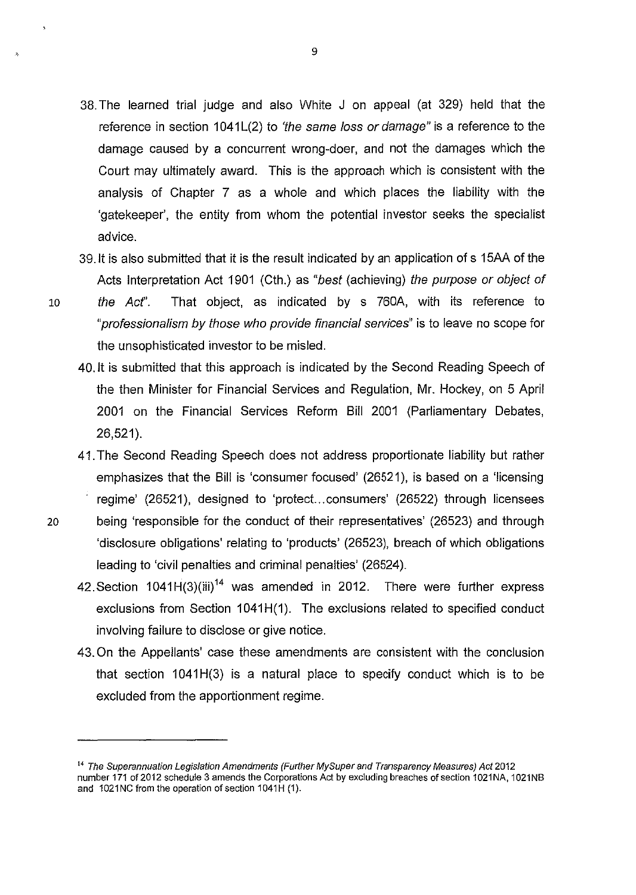- 38. The learned trial judge and also White J on appeal (at 329) held that the reference in section  $1041L(2)$  to 'the same loss or damage" is a reference to the damage caused by a concurrent wrong-doer, and not the damages which the Court may ultimately award. This is the approach which is consistent with the analysis of Chapter 7 as a whole and which places the liability with the 'gatekeeper', the entity from whom the potential investor seeks the specialist advice.
- 39. It is also submitted that it is the result indicated by an application of s 15AA of the Acts Interpretation Act 1901 (Cth.) as "best (achieving) the purpose or object of
- 10 the Acf'. That object, as indicated by s 760A, with its reference to "professionalism by those who provide financial services" is to leave no scope for the unsophisticated investor to be misled.
	- 40.1t is submitted that this approach is indicated by the Second Reading Speech of the then Minister for Financial Services and Regulation, Mr. Hockey, on 5 April 2001 on the Financial Services Reform Bill 2001 (Parliamentary Debates, 26,521).
- 41. The Second Reading Speech does not address proportionate liability but rather emphasizes that the Bill is 'consumer focused' (26521 ), is based on a 'licensing regime' (26521), designed to 'protect...consumers' (26522) through licensees 20 being 'responsible for the conduct of their representatives' (26523) and through 'disclosure obligations' relating to 'products' (26523), breach of which obligations leading to 'civil penalties and criminal penalties' (26524).
	- 42. Section  $1041H(3)(iii)^{14}$  was amended in 2012. There were further express exclusions from Section 1041H(1). The exclusions related to specified conduct involving failure to disclose or give notice.
	- 43. On the Appellants' case these amendments are consistent with the conclusion that section  $1041H(3)$  is a natural place to specify conduct which is to be excluded from the apportionment regime.

<sup>&</sup>lt;sup>14</sup> The Superannuation Legislation Amendments (Further My Super and Transparency Measures) Act 2012 number 171 of 2012 schedule 3 amends the Corporations Act by excluding breaches of section 1021NA, 1021NB and 1021NC from the operation of section 1041H (1).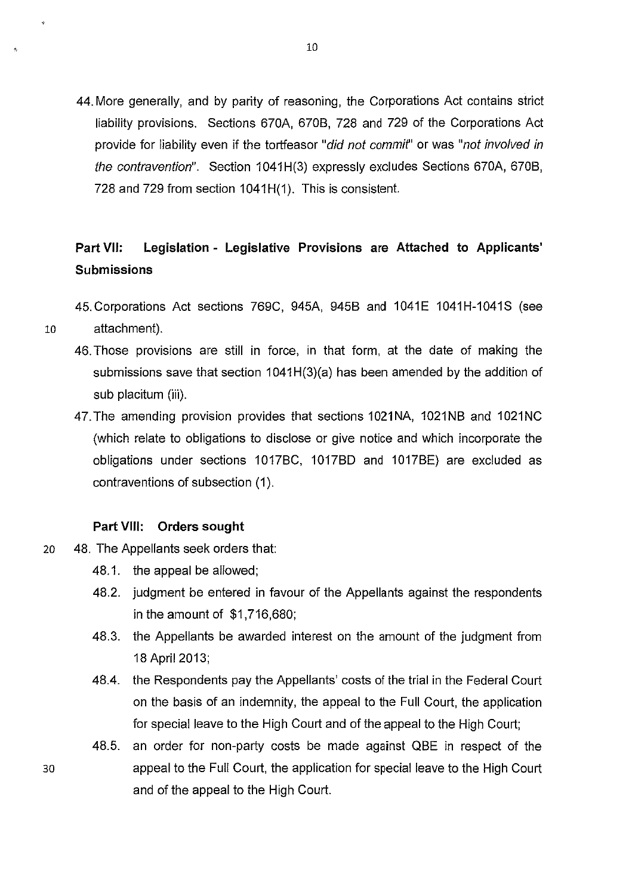44. More generally, and by parity of reasoning, the Corporations Act contains strict liability provisions. Sections 670A, 6708, 728 and 729 of the Corporations Act provide for liability even if the tortfeasor "did not commit" or was "not involved in the contravention". Section 1041 H(3) expressly excludes Sections 670A, 6708, 728 and 729 from section 1041H(1). This is consistent.

# **Part VII: Legislation - Legislative Provisions are Attached to Applicants' Submissions**

45.Corporations Act sections 769C, 945A, 9458 and 1041E 1041H-1041S (see

- 
- 10 attachment). 46. Those provisions are still in force, in that form, at the date of making the
	- submissions save that section 1041H(3)(a) has been amended by the addition of sub placitum (iii).
	- 47.The amending provision provides that sections 1021NA, 1021N8 and 1021NC (which relate to obligations to disclose or give notice and which incorporate the obligations under sections 1017BC, 1017BD and 1017BE) are excluded as contraventions of subsection (1).

# **Part VIII: Orders sought**

- 20 48. The Appellants seek orders that:
	- 48.1. the appeal be allowed;
	- 48.2. judgment be entered in favour of the Appellants against the respondents in the amount of \$1 ,716,680;
	- 48.3. the Appellants be awarded interest on the amount of the judgment from 18 April2013;
	- 48.4. the Respondents pay the Appellants' costs of the trial in the Federal Court on the basis of an indemnity, the appeal to the Full Court, the application for special leave to the High Court and of the appeal to the High Court;
- 48.5. an order for non-party costs be made against Q8E in respect of the 30 appeal to the Full Court, the application for special leave to the High Court and of the appeal to the High Court.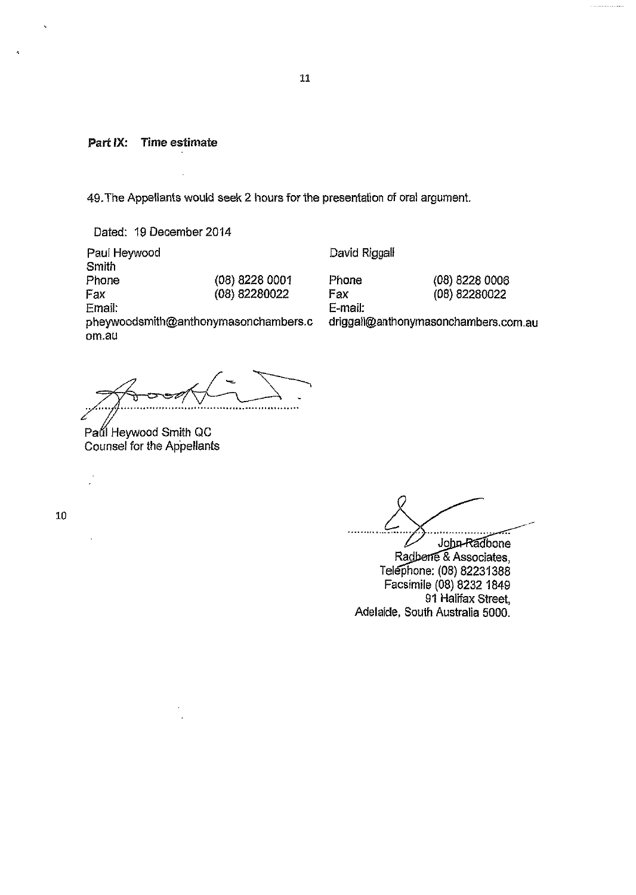Part IX: Time estimate

49. The Appellants would seek 2 hours for the presentation of oral argument.

Dated: 19 December 2014

Paul Heywood Smith Phone Fax (08) 8228 0001 (08) 82280022 Email: pheywoodsmith@anthonymasonchambers.c om. au

David Riggall

E-mail:

Phone (08) 8228 0006 Fax (08) 82280022

driggall@anthonymasonchambers.com.au

?

Paul Heywood Smith QC Counsel for the Appellants

10

John-Radbone Radberre & Associates, Telephone: (08) 82231388 Facsimile (08) 8232 1849 91 Halifax Street, Adelaide, South Australia 5000.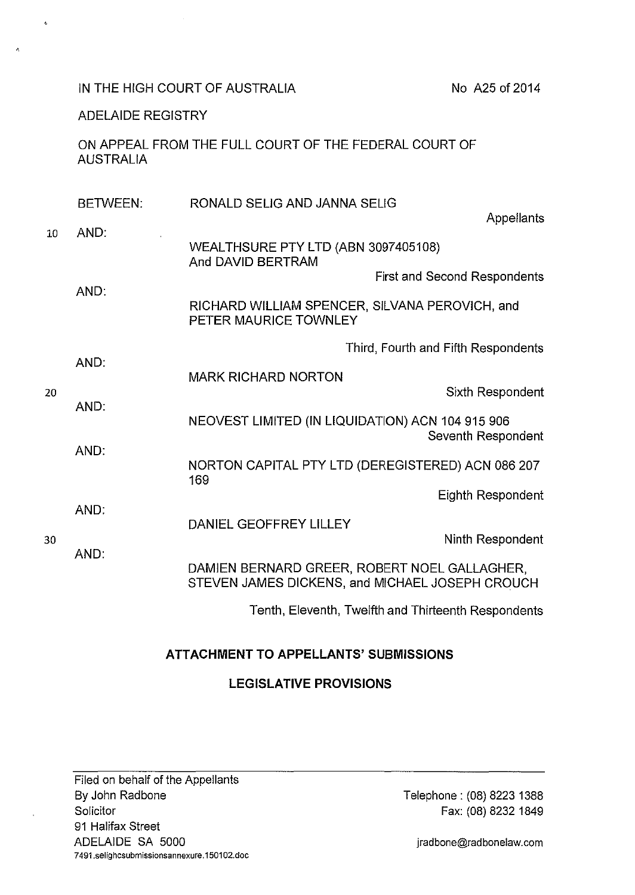IN THE HIGH COURT OF AUSTRALIA

No A25 of 2014

ADELAIDE REGISTRY

 $\ddot{\phantom{a}}$ 

ON APPEAL FROM THE FULL COURT OF THE FEDERAL COURT OF AUSTRALIA

|    | <b>BETWEEN:</b> | RONALD SELIG AND JANNA SELIG                                                                    |
|----|-----------------|-------------------------------------------------------------------------------------------------|
| 10 | AND.            | <b>Appellants</b>                                                                               |
|    | AND:            | WEALTHSURE PTY LTD (ABN 3097405108)<br>And DAVID BERTRAM                                        |
|    |                 | <b>First and Second Respondents</b>                                                             |
|    |                 | RICHARD WILLIAM SPENCER, SILVANA PEROVICH, and<br>PETER MAURICE TOWNLEY                         |
| 20 | AND:            | Third, Fourth and Fifth Respondents                                                             |
|    |                 | <b>MARK RICHARD NORTON</b>                                                                      |
|    | AND:<br>AND:    | Sixth Respondent                                                                                |
|    |                 | NEOVEST LIMITED (IN LIQUIDATION) ACN 104 915 906<br>Seventh Respondent                          |
|    |                 | NORTON CAPITAL PTY LTD (DEREGISTERED) ACN 086 207<br>169                                        |
| 30 |                 | Eighth Respondent                                                                               |
|    | AND:            | DANIEL GEOFFREY LILLEY<br>Ninth Respondent                                                      |
|    | AND:            | DAMIEN BERNARD GREER, ROBERT NOEL GALLAGHER,<br>STEVEN JAMES DICKENS, and MICHAEL JOSEPH CROUCH |
|    |                 | Tenth, Eleventh, Twelfth and Thirteenth Respondents                                             |

# **ATTACHMENT TO APPELLANTS' SUBMISSIONS**

# **LEGISLATIVE PROVISIONS**

Filed on behalf of the Appellants By John Radbone **Solicitor** 91 Halifax Street ADELAIDE SA 5000 **7 491.selighcsubmissionsannexure.1501 02.doc** 

Telephone : (08) 8223 1388 Fax: (08) 8232 1849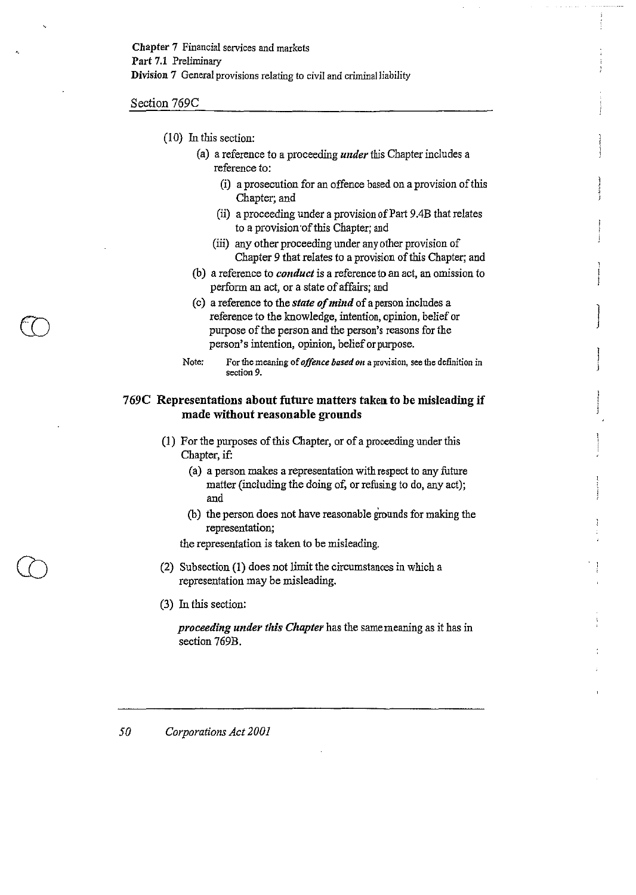Section 769C

CD

- (I 0) In *this* section:
	- (a) a reference to a proceeding *under* this Chapter includes a reference to:
		- (i) a prosecution for an offence based on a provision of this Chapter; and
		- (ii) a proceeding under a provision of Part 9.4B that relates to a provision ·of this Chapter; and
		- (iii) any other proceeding under any other provision of Chapter 9 that relates to a provision of *this* Chapter; and
	- (b) a reference to *conduct* is a reference to an act, an omission to perform an act, or a state of affairs; and
	- (c) a reference to the *state of mind* of a person includes a reference to the knowledge, intention, opinion, belief or purpose of the person and the person's reasons for the person's intention, opinion, belief or purpose.
	- Note: For the meaning of *offence based on* a provision, see the definition in **section 9.**

## 769C Representations about future matters taken to be misleading if made without reasonable grounds

- (1) For the purposes of this Chapter, or of a proceeding under this Chapter, if:
	- (a) a person makes a representation with respect to any future matter (including the doing of, or refusing to do, any act); and
	- (b) the person does not have reasonable grounds for making the representation;

the representation is taken to be misleading.

- (2) Subsection (I) does not limit the circumstances in which a representation may be misleading.
- (3) In this section:

*proceeding under this Chapter* has the same meaning as it has in section 769B.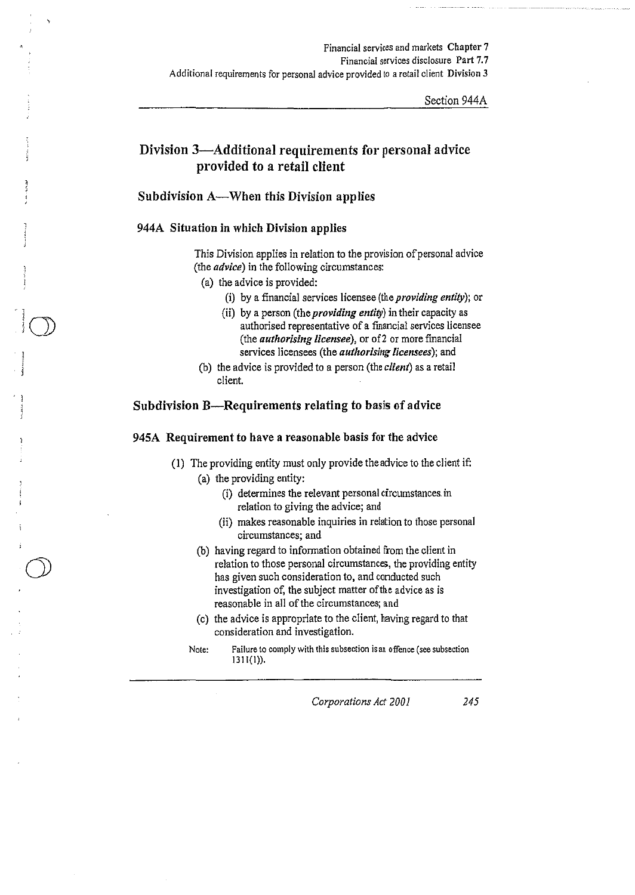Section 944A

# Division 3-Additional requirements for personal advice provided to a retail client

# Subdivision A-When this Division applies

## 944A Situation in which Division applies

This Division applies in relation to the provision of personal advice (the *advice)* in the following circumstances:

- (a) the advice is provided:
	- (i) by a financial services licensee (the *providing entity);* or
	- (ii) by a person (the *providing entity)* in their capacity as authorised representative of a financial services licensee (the *authorising licensee),* or of2 or more financial services licensees (the *authorising licensees);* and
- (b) the advice is provided to a person (the *client)* as a retail client.

## Subdivision B-Requirements relating to basis of advice

### 945A Requirement to have a reasonable basis for the advice

(I) The providing entity must only provide the advice to the client if:

### (a) the providing entity:

- (i) determines the relevant personal circumstances. in relation to giving the advice; and
- (ii) makes reasonable inquiries in relation to those personal **circumstances; and**
- (b) having regard to information obtained from the client in relation to those personal circumstances, the providing entity has given such consideration to, and conducted such investigation of, the subject matter of the advice as is reasonable in all of the circumstances; and
- (c) the advice is appropriate to the client, having regard to that consideration and investigation.
- **Note: Failure to comply with this subsection is an offence (see subsection**  1311(1)).

*Corporations Act 2001* 245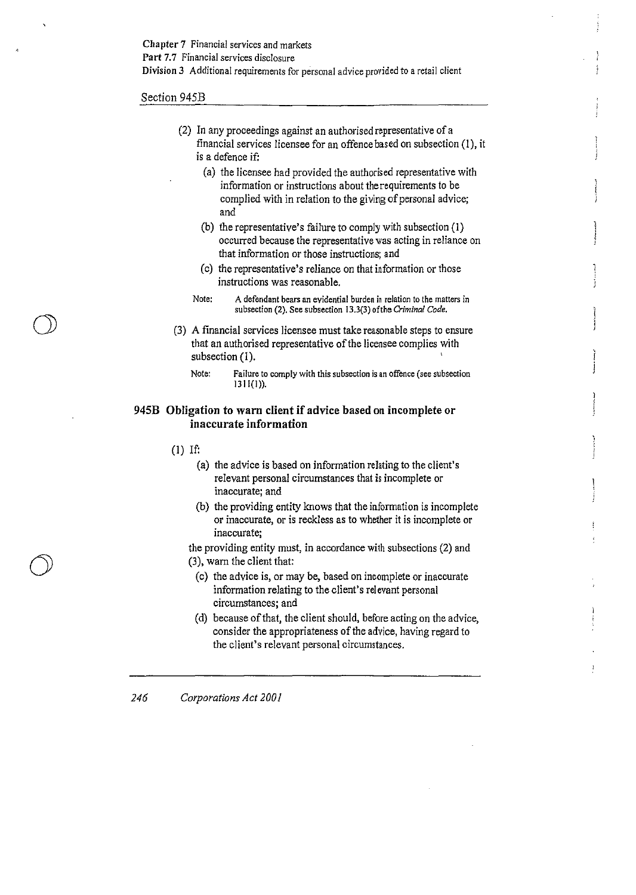#### Section 945B

| (2) In any proceedings against an authorised representative of a       |  |  |  |  |
|------------------------------------------------------------------------|--|--|--|--|
| financial services licensee for an offence based on subsection (1), it |  |  |  |  |
| is a defence if:                                                       |  |  |  |  |

- (a) the licensee had provided the authorised representative with information or instructions about the requirements to be complied with in relation to the giving of personal advice; and
- (b) the representative's failure to comply with subsection (I) occurred because the representative was acting in reliance on that information or those instructions; and
- (c) the representative's reliance on that information or those instructions was reasonable.
- **Note: A defendant bears an evidential burden in relation to the matters in**  subsection (2). See subsection 13.3(3) of the *Criminal Code.*
- (3) A financial services licensee must take reasonable steps to ensure that an authorised representative of the licensee complies with subsection (1).
	- **Note: Failure to comply with this subsection is an offence (see subsection**   $1311(1)$ ).

### **945B Obligation to warn client if advice based on incomplete or inaccurate information**

(1) If:

 $\cup$ 

- (a) the advice is based on information relating to the client's relevant personal circumstances that is incomplete or inaccurate; and
- (b) the providing entity knows that the information is incomplete or inaccurate, or is reckless as to whether it is incomplete or **inaccurate;**

the providing entity must, in accordance with subsections (2) and (3), warn the client that:

- (c) the advice is, or may be, based on incomplete or inaccurate information relating to the client's relevant personal circumstances; and
- (d) because of that, the client should, before acting on the advice, consider the appropriateness of the advice, having regard to the client's relevant personal circumstances.

*246 Corporations Act 2001*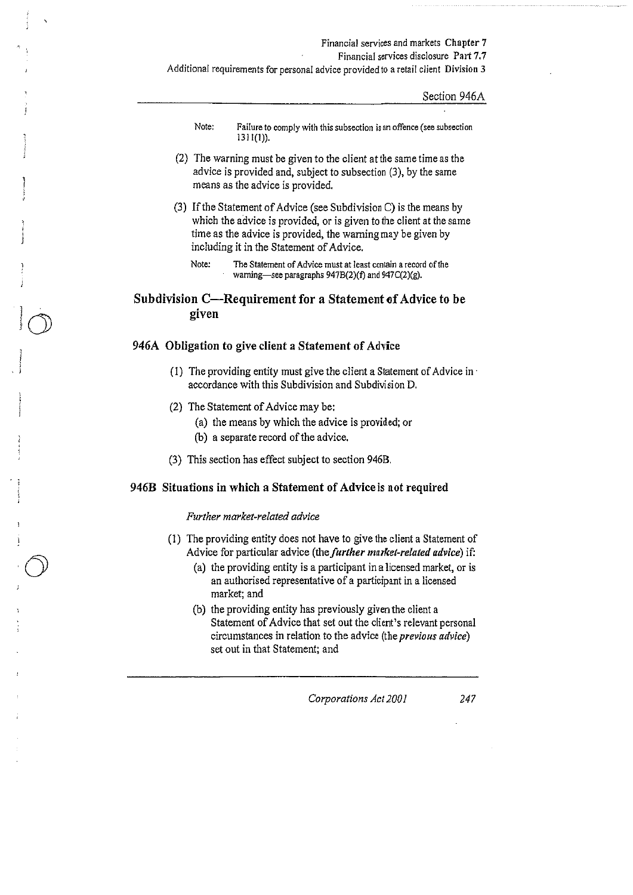**Additional requirements for personal advice provided to a retail client Division 3** 

Section 946A

- **Note: Failure to comply with this subsection** *is* **an offence (see subsection**  1311(1)).
- (2) The warning must be given to the client at the same time as the advice is provided and, subject to subsection (3), by the same means as the advice is provided.
- (3) If the Statement of Advice (see Subdivision C) is the means by which the advice is provided, or is given to the client at the same time as the advice is provided, the warning may be given by including it in the Statement of Advice.
	- **Note: The Statement of Advice must at least contain a record of the**  warning-see paragraphs 947B(2)(f) and 947C(2)(g).

## Subdivision C—Requirement for a Statement of Advice to be **given**

### **946A Obligation to give client a Statement of Advice**

- ( l) The providing entity must give the client a Statement of Advice in · accordance with this Subdivision and Subdivision D.
- (2) The Statement of Advice may be:

 $|\gamma|$  $\cup$ 

- (a) the means by which the advice is provided; or
- (b) a separate record of the advice.
- (3) This section has effect subject to section 946B.

### **946B Situations in which a Statement of Advice is not required**

#### *Further market-related advice*

- (I) The providing entity does not have to give the client a Statement of Advice for particular advice (the *further market-related advice)* if:
	- (a) the providing entity is a participant in a licensed market, or is an authorised representative of a participant in a licensed market; and
	- (b) the providing entity has previously given the client a Statement of Advice that set out the client's relevant personal circumstances in relation to the advice (the *previous advice)*  set out in that Statement; and

*Corporations Act 200 I 247*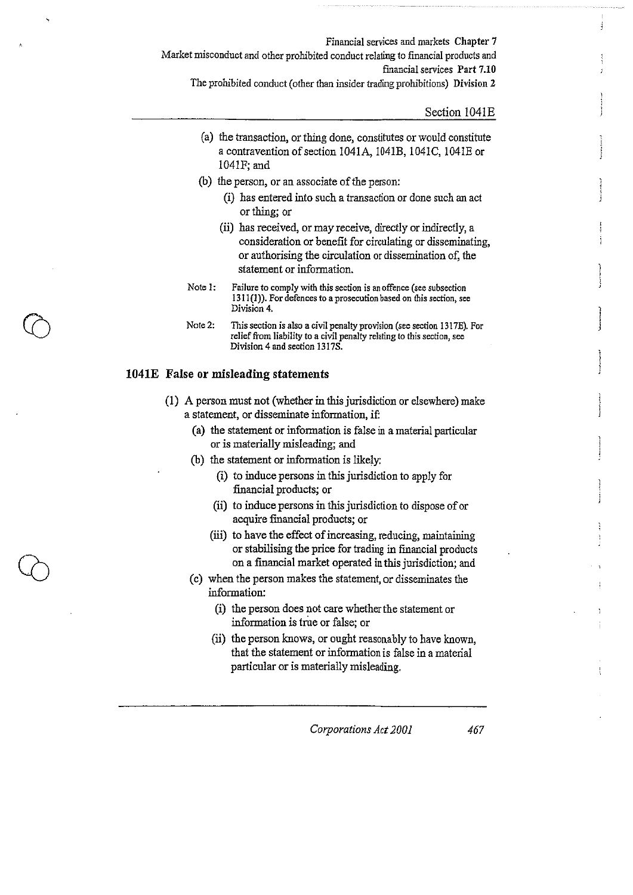Financial services and markets Chapter 7 Market misconduct and other prohibited conduct relating to financial products and fmancial services Part 7.10

The prohibited conduct (other than insider trading prohibitions) Division 2

Section 1041E

- (a) the transaction, or thing done, constitutes or would constitute a contravention of section 1041A, 1041B, 1041C, 1041E or 1041F;and
- (b) the person, or an associate of the person:
	- (i) has entered into such a transaction or done such an act or thing; or
	- (ii) has received, or may receive, directly or indirectly, a consideration or benefit for circulating or disseminating, or authorising the circulation or dissemination of, the statement or information.
- **Note 1: Failure to comply with this section is an offence (see subsection 1311(1)). For defences to a prosecution based on this section, see Division 4.**
- **Note 2: This section is also a civil penalty provision (see section 1317E). For relief from liability to a civil penalty relating to this section, see**  Division 4 and section 1317S.

### **1041E False or misleading statements**

- (1) A person must not (whether in this jurisdiction or elsewhere) make a statement, or disseminate information, if:
	- (a) the statement or information is false in a material particular or is materially misleading; and
	- (b) the statement or information is likely:
		- (i) to induce persons in this jurisdiction to apply for fmancial products; or
		- (ii) to induce persons in this jurisdiction to dispose of or acquire financial products; or
		- (iii) to have the effect of increasing, reducing, maintaining or stabilising the price for trading in financial products on a fmancial market operated in this jurisdiction; and
	- (c) when the person makes the statement, or disseminates the information:
		- (i) the person does not care whether the statement or information is true or false; or
		- (ii) the person knows, or ought reasonably to have known, that the statement or information is false in a material particular or is materially misleading.

*Corporations Act 2001 467*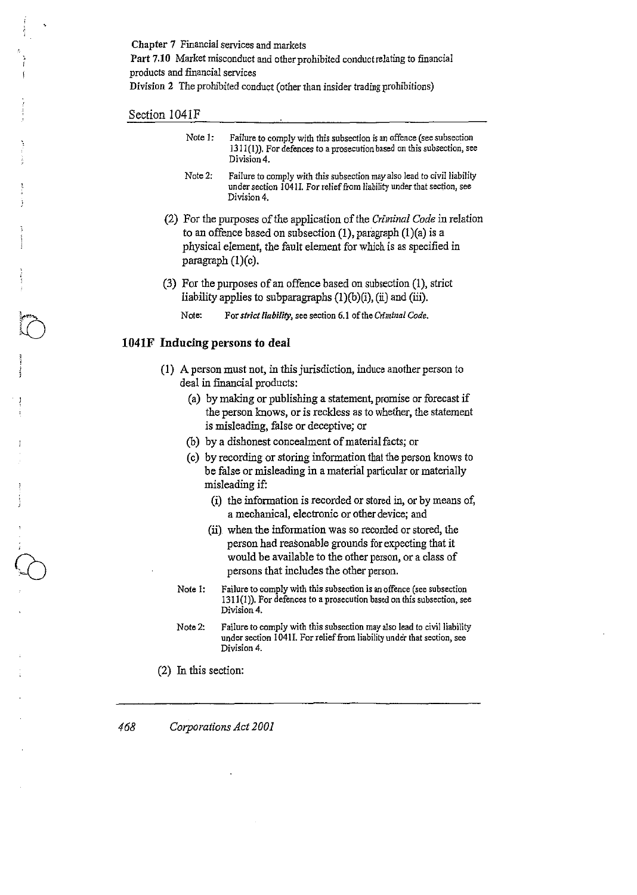Chapter 7 Financial services and markets Part 7.10 Market misconduct and other prohibited conduct relating to financial products and fmancial services

Division 2 The prohibited conduct (other than insider trading prohibitions)

#### Section 1041F

| Note 1. | Failure to comply with this subsection is an offence (see subsection<br>1311(1)). For defences to a prosecution based on this subsection, see<br>Division 4.     |
|---------|------------------------------------------------------------------------------------------------------------------------------------------------------------------|
| Note 2. | Failure to comply with this subsection may also lead to civil liability<br>under section 1041I. For relief from liability under that section, see<br>Division 4. |

- (2) For the purposes of the application of the *Criminal Code* in relation to an offence based on subsection  $(1)$ , paragraph  $(1)(a)$  is a physical element, the fault element for which is as specified in paragraph  $(1)(c)$ .
- (3) For the purposes of an offence based on subsection (1), strict liability applies to subparagraphs  $(1)(b)(i)$ ,  $(ii)$  and  $(iii)$ .
	- Note: For *strict liability*, see section 6.1 of the *Criminal Code*.

### 1041F Inducing persons to deal

- ( 1) A person must not, in this jurisdiction, induce another person to deal in financial products:
	- (a) by making or publishing a statement, promise or forecast if the person knows, or is reckless as to whether, the statement is misleading, false or deceptive; or
	- (b) by a dishonest concealment of material facts; or
	- (c) by recording or storing information that the person knows to be false or misleading in a material particular or materially misleading if:
		- (i) the information is recorded or stored in, or by means of, a mechanical, electronic or other device; and
		- (ii} when the information was so recorded or stored, the person had reasonable grounds for expecting that it would be available to the other person, or a class of persons that includes the other person.
	- Note I: Failure to comply with this subsection is an offence (see subsection 1311(1)). For defences to a prosecution based on this subsection, see Division 4.
	- Note2: Failure to comply with this subsection may also lead to civil liability under section 1041I. For relief from liability under that section, see Division 4.
- (2) In this section:

*468 Corporations Act 2001*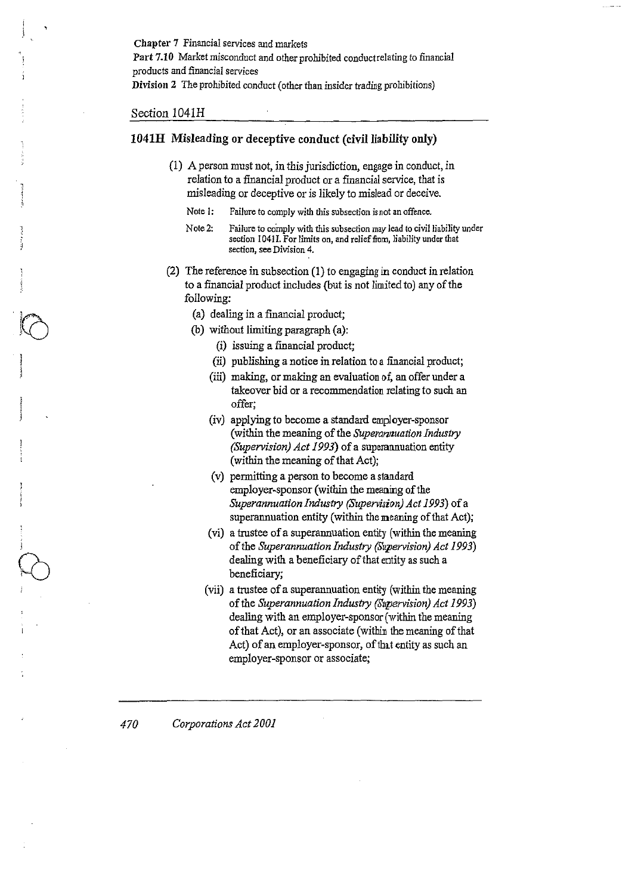Chapter 7 Financial services and markets Part 7.10 Market misconduct and other prohibited conduct relating *to* financial products and financial services Division 2 The prohibited conduct (other than insider trading prohibitions)

#### Section 1041H

·IrA  $\mathbb{N}$ 

## 1041H Misleading or deceptive conduct (civil liability only)

- (1) A person must uot, in this jurisdiction, engage in conduct, in relation to a fmancial product or a fmancial service, that is misleading or deceptive or is likely to mislead or deceive.
	- **Note I: Failure to comply with this subsection is not an offence.**
	- Note 2: Failure to comply with this subsection may lead to civil liability under section 1041I. For limits on, and relief from, liability under that **section, see Division 4.**
- (2) The reference in subsection (I) to engaging in conduct in relation to a fmancial product includes (but is not limited to) any of the following:
	- (a) dealing in a financial product;
	- (b) without limiting paragraph (a):
		- (i) issuing a financial product;
		- (ii) publishing a notice in relation to a financial product;
		- (iii) making, or making an evaluation of, an offer under a takeover bid or a recommendation relating to such an offer;
		- (iv) applying to become a standard employer-sponsor (within the meaning of the *Superannuation Industry (Supervision) Act 1993)* of a superannuation entity (within the meaning of that Act);
		- (v) permitting a person to become a standard employer-sponsor (within the meaning of the *Superannuation Industry (Supervision) Act 1993*) of a superannuation entity (within the meaning of that Act);
		- (vi) a trustee of a superannuation entity (within the meaning of the *Superannuation Industry (Supervision) Act 1993)*  dealing with a beneficiary of that entity as such a beneficiary;
		- (vii) a trustee of a superannuation entity (within the meaning of the *Superannuation Industry (Supervision) Act 1993)*  dealing with an employer-sponsor (within the meaning of that Act), or an associate (within the meaning of that Act) of an employer-sponsor, of that entity as such an employer -sponsor or associate;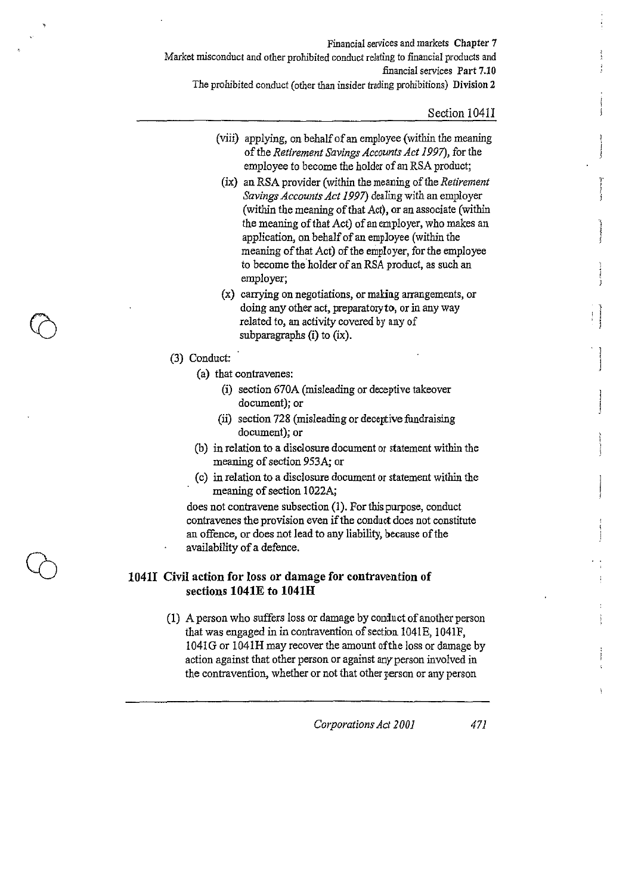Financial services and markets Chapter 7 Market misconduct and other prohibited conduct relating to financial products and financial services Part 7.10 The prohibited conduct (other than insider trading prohibitions) Division 2

#### Section 1041I

r

1  $\mathbf{I}$ j

- (viii) applying, on behalf of an employee (within the meaning of the *Retirement Savings Accounts Act 1997),* for the employee to become the holder of an RSA product;
- (ix) an RSA provider (within the meaning of the *Retirement Savings Accounts Act 1997)* dealing with an employer (within the meaning of that Act), or an associate (within the meaning of that Act) of an employer, who makes an application, on behalf of an employee (within the meaning of that Act) of the employer, for the employee to become the holder of an RSA product, as such an employer;
- (x) carrying on negotiations, or making arrangements, or doing any other act, preparatory to, or in any way related to, an activity covered by any of subparagraphs (i) to (ix).
- (3) Conduct:
	- (a) that contravenes:
		- (i) section 670A (misleading or deceptive takeover document); or
		- (ii) section 728 (misleading or deceptive fundraising document); or
	- (b) in relation to a disclosure document or statement within the meaning of section 953A; or
	- (c) in relation to a disclosure document or statement within the meaning of section 1022A;

does not contravene subsection (1). For this purpose, conduct contravenes the provision even if the conduct does not constitute an offence, or does not lead to any liability, because of the availability of a defence.

## **10411 Civil action for loss or damage for contravention of sections 1041E to 1041H**

(!) A person who suffers loss or damage by conduct of another person that was engaged in in contravention of section 1041E, 1041F, 1041G or !041H may recover the amount ofthe loss or damage by action against that other person or against any-person involved in the contravention, whether or not that other person or any person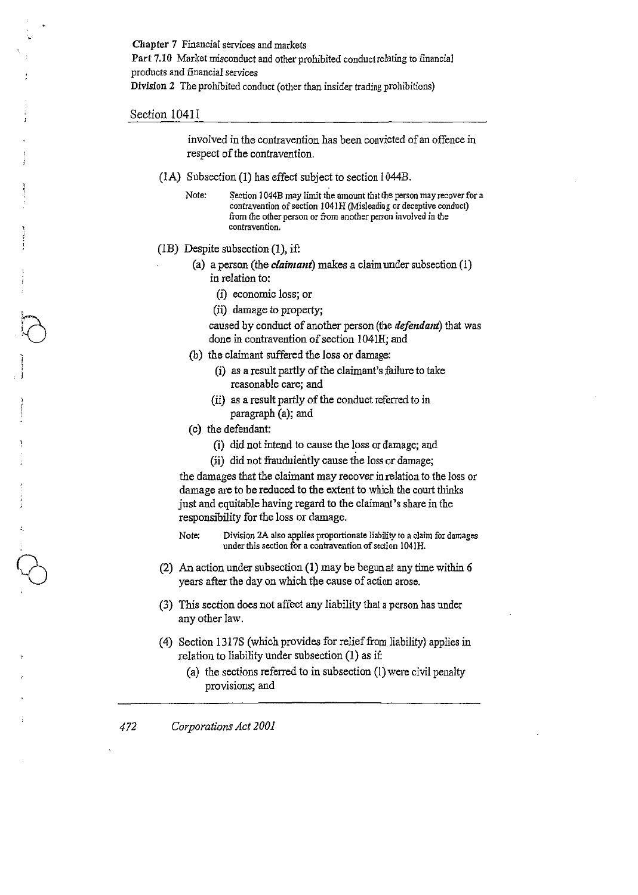Chapter 7 Financial services and markets Part 7.10 Market misconduct and other prohibited conduct relating to financial products and financial services Division 2 The prohibited conduct (other than insider trading prohibitions)

#### Section 1041I

 $\bigcap$ 

involved in the contravention has been convicted of an offence in respect of the contravention.

- (1A) Subsection (1) has effect subject to section  $1044B$ .
	- Note: Section 1044B may limit the amount that the person may recover for a contravention of section 1041H (Misleading or deceptive conduct) **from the other person or from another person involved in the contravention.**
- (1B) Despite subsection  $(1)$ , if:
	- (a) a person (the *claimant)* makes a claim under subsection (1) in relation to:
		- (i) economic loss; or
		- (ii) damage to property;

caused by conduct of another person (the *tlefentlant)* that was done in contravention of section 1041H; and

- (b) the claimant suffered the loss or damage:
	- (i) as a result partly of the claimant's failure to take reasonable care; and
	- (ii) as a result partly of the conduct referred to in paragraph (a); and
- (c) the defendant:
	- (i) did not intend to cause the loss or damage; and
	- (ii) did not fraudulently cause the loss or damage;

the damages that the claimant may recover inrelatiou to the loss or damage are to be reduced to the extent to which the court thinks just and equitable having regard to the claimant's share in the responsibility for the loss or damage.

**Note: Division 2A also applies proportionate liability to a claim for damages under this section for a contravention of section 1041H.** 

- (2) An action under subsection (1) may be begun at any time within 6 years after the day on which the cause of action arose.
- (3) This section does not affect any liability that a person has under any other law.
- ( 4) Section 13178 (which provides for relief from liability) applies in relation to liability under subsection (1) as if:
	- (a) the sections referred to in subsection (I) were civil penalty provisions; and

*472 Corporations Act 2001*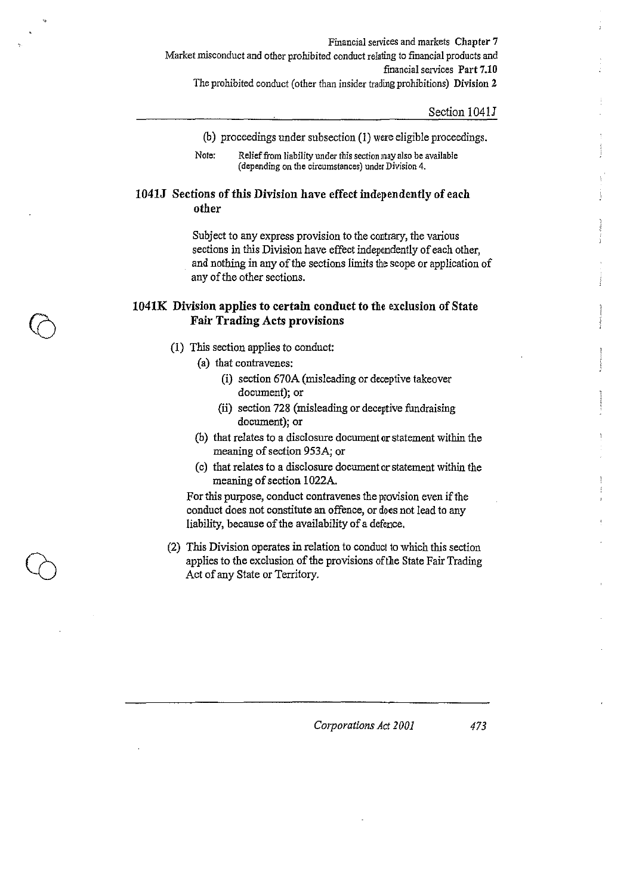Financial services and markets Chapter 7 Market misconduct and other prohibited conduct relating to financial products and financial services Part 7.10 The prohibited conduct (other than insider trading prohibitions) Division 2

#### Section 1041J

(b) proceedings under subsection (1) were eligible proceedings.

## 1041J Sections of this Division have effect independently of each other

Subject to any express provision to the contrary, the various sections in this Division have effect independently of each other, and nothing in any of the sections limits the scope or application of any of the other sections.

## 1041K Division applies to certain conduct to the exclusion of State Fair Trading Acts provisions

- (1) This section applies to conduct:
	- (a) that contravenes:
		- (i) section 670A (misleading or deceptive takeover document); or
		- (ii) section 728 (misleading or deceptive fundraising document); or
	- (b) that relates to a disclosure document or statement within the meaning of section 953A; or
	- (c) that relates to a disclosure document or statement within the meaning of section 1022A.

For this purpose, conduct contravenes the provision even if the conduct does not constitute an offence, or does not lead to any liability, because of the availability of a defence.

(2) This Division operates in relation to conduct to which this section applies to the exclusion of the provisions of the State Fair Trading Act of any State or Territory.

**Note: Relief from liability under this section may also be available (depending on the circumstances) under Division 4.**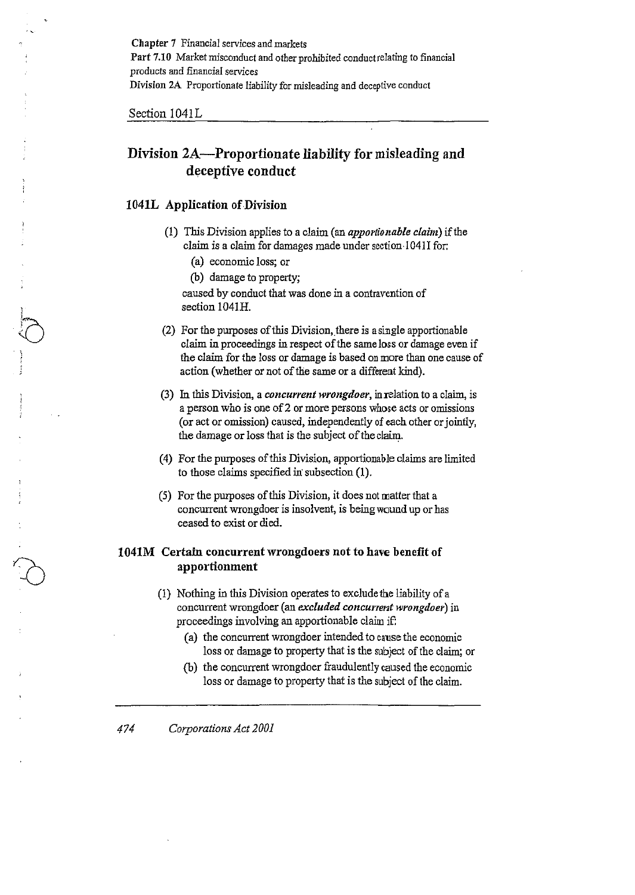Chapter 7 Financial services and markets Part 7.10 Market misconduct and other prohibited conduct relating to financial products and financial services Division 2A Proportionate liability for misleading and deceptive conduct

Section 1041L

# **Division 2A-Proportionate liability for misleading and deceptive conduct**

### **1041L** Application of Division

- (1) This Division applies to a claim (an *apportionahle claim)* if the claim is a claim for damages made under section 1041I for:
	- (a) economic loss; or
	- (b) damage to property;

caused by conduct that was done in a contravention of section 1041H.

- (2) For the purposes of this Division, there is a single apportionable claim in proceedings in respect of the same loss or damage even if the claim for the loss or damage is based on more than one cause of action (whether or not of the same or a different kind).
- (3) In this Division, a *concurrent wrongdoer,* in relation to a claim, is a person who is one of 2 or more persons whose acts or omissions (or act or omission) caused, independently of each other or jointly, the damage or loss that is the subject of the claim.
- (4) For the purposes of this Division, apportionable claims are limited to those claims specified in subsection (1).
- (5) For the purposes of this Division, it does not matter that a concurrent wrongdoer is insolvent, is being wound up or has ceased to exist or died.

## **1041M Certain concurrent wrongdoers not to have benefit of apportionment**

- (1) Nothing in this Division operates to exclude the liability of a concurrent wrongdoer (an *excluded concurrent wrongdoer)* in proceedings involving an apportionable claim if:
	- (a) the concurrent wrongdoer intended to cause the economic loss or damage to property that is the subject of the claim; or
	- (b) the concurrent wrongdoer fraudulently caused the economic loss or damage to property that is the subject of the claim.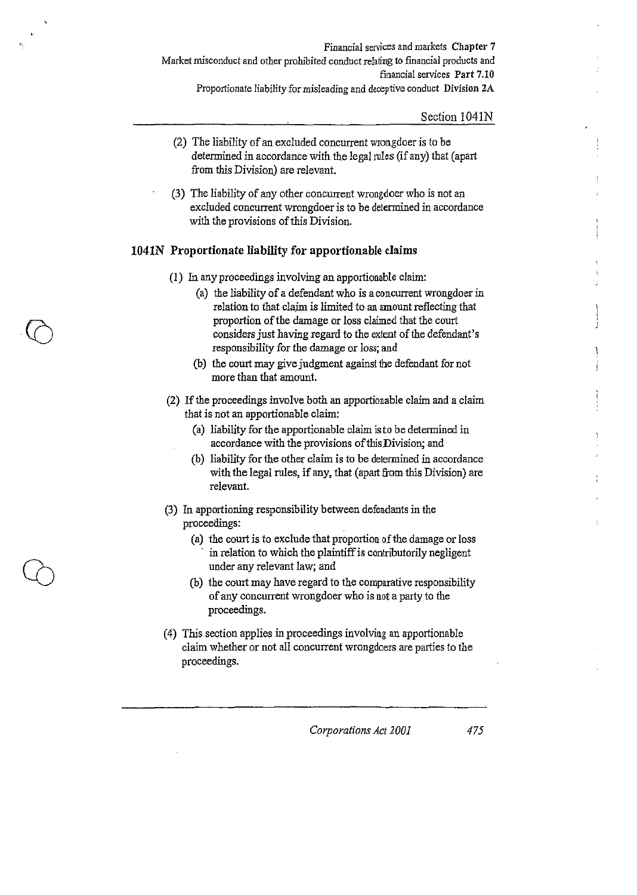Financial services and markets Chapter 7 Market misconduct and other prohibited conduct relating to financial products and financial services Part 7.10 Proportionate liability for misleading and deceptive conduct Division 2A

Section 1041N

- (2) The liability of an excluded concurrent wrongdoer is to be determined in accordance with the legal rules (if any) that (apart from this Division) are relevant.
- (3) The liability of any other concurrent wrongdoer who is not an excluded concurrent wrongdoer is to be determined in accordance with the provisions of this Division.

## **1041N Proportionate liability for apportionable cJaims**

- (1) In any proceedings involving an apportionable claim:
	- (a) the liability of a defendant who is a concurrent wrongdoer in relation to that claim is limited to an amount reflecting that proportion of the damage or loss claimed that the court considers just having regard to the extent of the defendant's responsibility for the damage or loss; and
	- (b) the court may give judgment against the defendant for not more than that amount.
- (2) If the proceedings involve both an apportionable claim and a claim that is not an apportionable claim:
	- (a) liability for the apportionable claim is to be determined in accordance with the provisions of this Division; and
	- (b) liability for the other claim is to be determined in accordance with the legal rules, if any, that (apart from this Division) are relevant.
- (3) In apportioning responsibility between defendants in the proceedings:
	- (a) the court is to exclude that proportion of the damage or loss in relation to which the plaintiff is contributorily negligent under any relevant law; and
	- (b) the court may have regard to the comparative responsibility of any concurrent wrongdoer who is not a party to the proceedings.
- ( 4) This section applies in proceedings involving an apportionable claim whether or not all concurrent wrongdoers are parties to the proceedings.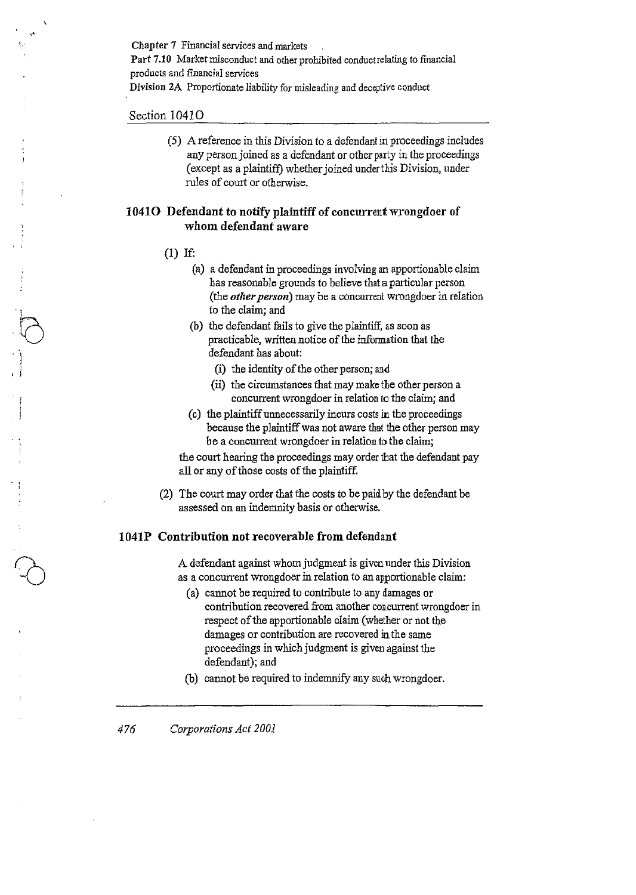Chapter 7 Financial services and markets Part 7.10 Market misconduct and other prohibited conduct relating to financial products and financial services Division 2A Proportionate liability for misleading and deceptive conduct

### Section 10410

(5) A reference in this Division to a defendant in proceedings includes any person joined as a defendant or other party in the proceedings (except as a plaintiff) whether joined under this Division, under rules of court or otherwise.

## 1041O Defendant to notify plaintiff of concurrent wrongdoer of whom defendant aware

- (1) If:
	- (a) a defendant in proceedings involving an apportionable claim has reasonable grounds to believe that a particular person (the *other person*) may be a concurrent wrongdoer in relation to the claim; and
	- (b) the defendant fails to give the plaintiff, as soon as practicable, written notice of the information that the defendant has about:
		- (i) the identity of the other person; and
		- (ii) the circumstances that may make the other person a concurrent wrongdoer in relation to the claim; and
	- (c) the plaintiff unnecessarily incurs costs in the proceedings because the plaintiff was not aware that the other person may be a concurrent wrongdoer in relation to the claim;

the court hearing the proceedings may order that the defendant pay all or any of those costs of the plaintiff.

(2) The court may order that the costs to be paid *by* the defendant be assessed on an indemnity basis or otherwise.

### 1041P Contribution not recoverable from defendant

A defendant against whom judgment is given under this Division as a concurrent wrongdoer in relation to an apportionable claim:

- (a) cannot be required to contribute to any damages or contribution recovered from another concurrent wrongdoer in respect of the apportionable claim (whether or not the damages or contribution are recovered in the same proceedings in which judgment is given against the defendant); and
- (b) cannot be required to indemnify any such wrongdoer.